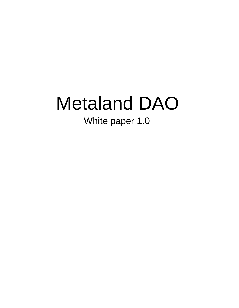# Metaland DAO

White paper 1.0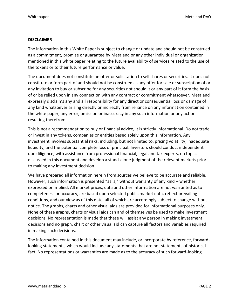#### **DISCLAIMER**

The information in this White Paper is subject to change or update and should not be construed as a commitment, promise or guarantee by Metaland or any other individual or organization mentioned in this white paper relating to the future availability of services related to the use of the tokens or to their future performance or value.

The document does not constitute an offer or solicitation to sell shares or securities. It does not constitute or form part of and should not be construed as any offer for sale or subscription of or any invitation to buy or subscribe for any securities not should it or any part of it form the basis of or be relied upon in any connection with any contract or commitment whatsoever. Metaland expressly disclaims any and all responsibility for any direct or consequential loss or damage of any kind whatsoever arising directly or indirectly from reliance on any information contained in the white paper, any error, omission or inaccuracy in any such information or any action resulting therefrom.

This is not a recommendation to buy or financial advice, It is strictly informational. Do not trade or invest in any tokens, companies or entities based solely upon this information. Any investment involves substantial risks, including, but not limited to, pricing volatility, inadequate liquidity, and the potential complete loss of principal. Investors should conduct independent due diligence, with assistance from professional financial, legal and tax experts, on topics discussed in this document and develop a stand-alone judgment of the relevant markets prior to making any investment decision.

We have prepared all information herein from sources we believe to be accurate and reliable. However, such information is presented "as is," without warranty of any kind – whether expressed or implied. All market prices, data and other information are not warranted as to completeness or accuracy, are based upon selected public market data, reflect prevailing conditions, and our view as of this date, all of which are accordingly subject to change without notice. The graphs, charts and other visual aids are provided for informational purposes only. None of these graphs, charts or visual aids can and of themselves be used to make investment decisions. No representation is made that these will assist any person in making investment decisions and no graph, chart or other visual aid can capture all factors and variables required in making such decisions.

The information contained in this document may include, or incorporate by reference, forwardlooking statements, which would include any statements that are not statements of historical fact. No representations or warranties are made as to the accuracy of such forward-looking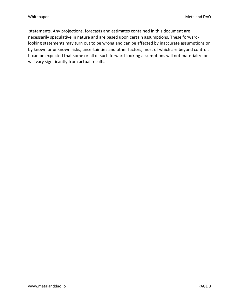statements. Any projections, forecasts and estimates contained in this document are necessarily speculative in nature and are based upon certain assumptions. These forwardlooking statements may turn out to be wrong and can be affected by inaccurate assumptions or by known or unknown risks, uncertainties and other factors, most of which are beyond control. It can be expected that some or all of such forward-looking assumptions will not materialize or will vary significantly from actual results.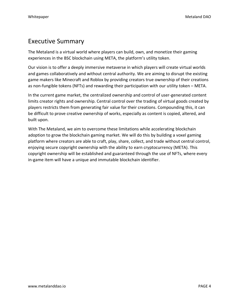## Executive Summary

The Metaland is a virtual world where players can build, own, and monetize their gaming experiences in the BSC blockchain using META, the platform's utility token.

Our vision is to offer a deeply immersive metaverse in which players will create virtual worlds and games collaboratively and without central authority. We are aiming to disrupt the existing game makers like Minecraft and Roblox by providing creators true ownership of their creations as non-fungible tokens (NFTs) and rewarding their participation with our utility token – META.

In the current game market, the centralized ownership and control of user-generated content limits creator rights and ownership. Central control over the trading of virtual goods created by players restricts them from generating fair value for their creations. Compounding this, it can be difficult to prove creative ownership of works, especially as content is copied, altered, and built upon.

With The Metaland, we aim to overcome these limitations while accelerating blockchain adoption to grow the blockchain gaming market. We will do this by building a voxel gaming platform where creators are able to craft, play, share, collect, and trade without central control, enjoying secure copyright ownership with the ability to earn cryptocurrency (META). This copyright ownership will be established and guaranteed through the use of NFTs, where every in-game item will have a unique and immutable blockchain identifier.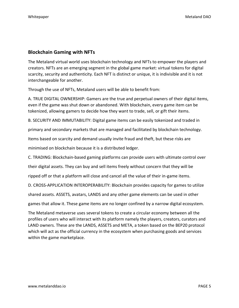#### **Blockchain Gaming with NFTs**

The Metaland virtual world uses blockchain technology and NFTs to empower the players and creators. NFTs are an emerging segment in the global game market: virtual tokens for digital scarcity, security and authenticity. Each NFT is distinct or unique, it is indivisible and it is not interchangeable for another.

Through the use of NFTs, Metaland users will be able to benefit from:

A. TRUE DIGITAL OWNERSHIP: Gamers are the true and perpetual owners of their digital items, even if the game was shut down or abandoned. With blockchain, every game item can be tokenized, allowing gamers to decide how they want to trade, sell, or gift their items.

B. SECURITY AND IMMUTABILITY: Digital game items can be easily tokenized and traded in

primary and secondary markets that are managed and facilitated by blockchain technology.

Items based on scarcity and demand usually invite fraud and theft, but these risks are

minimised on blockchain because it is a distributed ledger.

C. TRADING: Blockchain-based gaming platforms can provide users with ultimate control over

their digital assets. They can buy and sell items freely without concern that they will be

ripped off or that a platform will close and cancel all the value of their in-game items.

D. CROSS-APPLICATION INTEROPERABILITY: Blockchain provides capacity for games to utilize

shared assets. ASSETS, avatars, LANDS and any other game elements can be used in other

games that allow it. These game items are no longer confined by a narrow digital ecosystem.

The Metaland metaverse uses several tokens to create a circular economy between all the profiles of users who will interact with its platform namely the players, creators, curators and LAND owners. These are the LANDS, ASSETS and META, a token based on the BEP20 protocol which will act as the official currency in the ecosystem when purchasing goods and services within the game marketplace.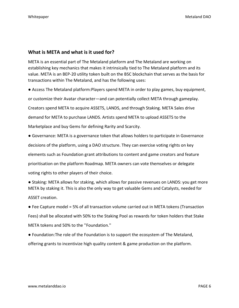#### **What is META and what is it used for?**

META is an essential part of The Metaland platform and The Metaland are working on establishing key mechanics that makes it intrinsically tied to The Metaland platform and its value. META is an BEP-20 utility token built on the BSC blockchain that serves as the basis for transactions within The Metaland, and has the following uses:

● Access The Metaland platform:Players spend META in order to play games, buy equipment, or customize their Avatar character—and can potentially collect META through gameplay. Creators spend META to acquire ASSETS, LANDS, and through Staking. META Sales drive demand for META to purchase LANDS. Artists spend META to upload ASSETS to the Marketplace and buy Gems for defining Rarity and Scarcity.

● Governance: META is a governance token that allows holders to participate in Governance decisions of the platform, using a DAO structure. They can exercise voting rights on key elements such as Foundation grant attributions to content and game creators and feature prioritisation on the platform Roadmap. META owners can vote themselves or delegate voting rights to other players of their choice.

● Staking: META allows for staking, which allows for passive revenues on LANDS: you get more META by staking it. This is also the only way to get valuable Gems and Catalysts, needed for

ASSET creation.

● Fee Capture model = 5% of all transaction volume carried out in META tokens (Transaction Fees) shall be allocated with 50% to the Staking Pool as rewards for token holders that Stake META tokens and 50% to the ''Foundation.''

● Foundation:The role of the Foundation is to support the ecosystem of The Metaland, offering grants to incentivize high quality content & game production on the platform.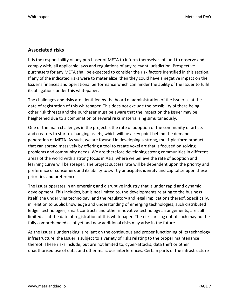#### **Associated risks**

It is the responsibility of any purchaser of META to inform themselves of, and to observe and comply with, all applicable laws and regulations of any relevant jurisdiction. Prospective purchasers for any META shall be expected to consider the risk factors identified in this section. If any of the indicated risks were to materialize, then they could have a negative impact on the Issuer's finances and operational performance which can hinder the ability of the Issuer to fulfil its obligations under this whitepaper.

The challenges and risks are identified by the board of administration of the Issuer as at the date of registration of this whitepaper. This does not exclude the possibility of there being other risk threats and the purchaser must be aware that the impact on the Issuer may be heightened due to a combination of several risks materializing simultaneously.

One of the main challenges in the project is the rate of adoption of the community of artists and creators to start exchanging assets, which will be a key point behind the demand generation of META. As such, we are focused in developing a strong, multi-platform product that can spread massively by offering a tool to create voxel art that is focused on solving problems and community needs. We are therefore developing strong communities in different areas of the world with a strong focus in Asia, where we believe the rate of adoption and learning curve will be steeper. The project success rate will be dependent upon the priority and preference of consumers and its ability to swiftly anticipate, identify and capitalise upon these priorities and preferences.

The Issuer operates in an emerging and disruptive industry that is under rapid and dynamic development. This includes, but is not limited to, the developments relating to the business itself, the underlying technology, and the regulatory and legal implications thereof. Specifically, in relation to public knowledge and understanding of emerging technologies, such distributed ledger technologies, smart contracts and other innovative technology arrangements, are still limited as at the date of registration of this whitepaper. The risks arising out of such may not be fully comprehended as of yet and new additional risks may arise in the future.

As the Issuer's undertaking is reliant on the continuous and proper functioning of its technology infrastructure, the Issuer is subject to a variety of risks relating to the proper maintenance thereof. These risks include, but are not limited to, cyber-attacks, data theft or other unauthorised use of data, and other malicious interferences. Certain parts of the infrastructure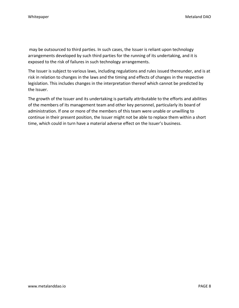may be outsourced to third parties. In such cases, the Issuer is reliant upon technology arrangements developed by such third parties for the running of its undertaking, and it is exposed to the risk of failures in such technology arrangements.

The Issuer is subject to various laws, including regulations and rules issued thereunder, and is at risk in relation to changes in the laws and the timing and effects of changes in the respective legislation. This includes changes in the interpretation thereof which cannot be predicted by the Issuer.

The growth of the Issuer and its undertaking is partially attributable to the efforts and abilities of the members of its management team and other key personnel, particularly its board of administration. If one or more of the members of this team were unable or unwilling to continue in their present position, the Issuer might not be able to replace them within a short time, which could in turn have a material adverse effect on the Issuer's business.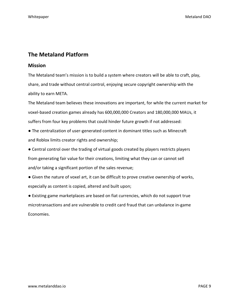### **The Metaland Platform**

#### **Mission**

The Metaland team's mission is to build a system where creators will be able to craft, play, share, and trade without central control, enjoying secure copyright ownership with the ability to earn META.

The Metaland team believes these innovations are important, for while the current market for voxel-based creation games already has 600,000,000 Creators and 180,000,000 MAUs, it suffers from four key problems that could hinder future growth if not addressed:

- The centralization of user-generated content in dominant titles such as Minecraft and Roblox limits creator rights and ownership;
- Central control over the trading of virtual goods created by players restricts players from generating fair value for their creations, limiting what they can or cannot sell and/or taking a significant portion of the sales revenue;
- Given the nature of voxel art, it can be difficult to prove creative ownership of works, especially as content is copied, altered and built upon;

● Existing game marketplaces are based on fiat currencies, which do not support true microtransactions and are vulnerable to credit card fraud that can unbalance in-game Economies.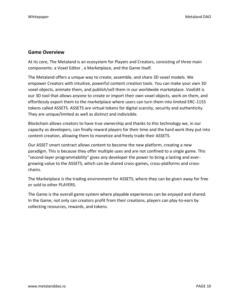#### **Game Overview**

At its core, The Metaland is an ecosystem for Players and Creators, consisting of three main components: a Voxel Editor , a Marketplace, and the Game itself.

The Metaland offers a unique way to create, assemble, and share 3D voxel models. We empower Creators with intuitive, powerful content creation tools. You can make your own 3D voxel objects, animate them, and publish/sell them in our worldwide marketplace. VoxEdit is our 3D tool that allows anyone to create or import their own voxel objects, work on them, and effortlessly export them to the marketplace where users can turn them into limited ERC-1155 tokens called ASSETS. ASSETS are virtual tokens for digital scarcity, security and authenticity. They are unique/limited as well as distinct and indivisible.

Blockchain allows creators to have true ownership and thanks to this technology we, in our capacity as developers, can finally reward players for their time and the hard work they put into content creation, allowing them to monetize and freely trade their ASSETS.

Our ASSET smart contract allows content to become the new platform, creating a new paradigm. This is because they offer multiple uses and are not confined to a single game. This "second-layer programmability" gives any developer the power to bring a lasting and evergrowing value to the ASSETS, which can be shared cross-games, cross-platforms and crosschains.

The Marketplace is the trading environment for ASSETS, where they can be given away for free or sold to other PLAYERS.

The Game is the overall game system where playable experiences can be enjoyed and shared. In the Game, not only can creators profit from their creations, players can play-to-earn by collecting resources, rewards, and tokens.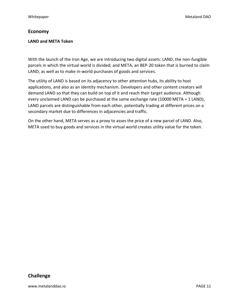#### **Economy**

#### **LAND and META Token**

With the launch of the Iron Age, we are introducing two digital assets: LAND, the non-fungible parcels in which the virtual world is divided; and META, an BEP-20 token that is burned to claim LAND, as well as to make in-world purchases of goods and services.

The utility of LAND is based on its adjacency to other attention hubs, its ability to host applications, and also as an identity mechanism. Developers and other content creators will demand LAND so that they can build on top of it and reach their target audience. Although every unclaimed LAND can be purchased at the same exchange rate (10000 META = 1 LAND), LAND parcels are distinguishable from each other, potentially trading at different prices on a secondary market due to differences in adjacencies and traffic.

On the other hand, META serves as a proxy to asses the price of a new parcel of LAND. Also, META used to buy goods and services in the virtual world creates utility value for the token.

#### **Challenge**

www.metalanddao.io PAGE 11